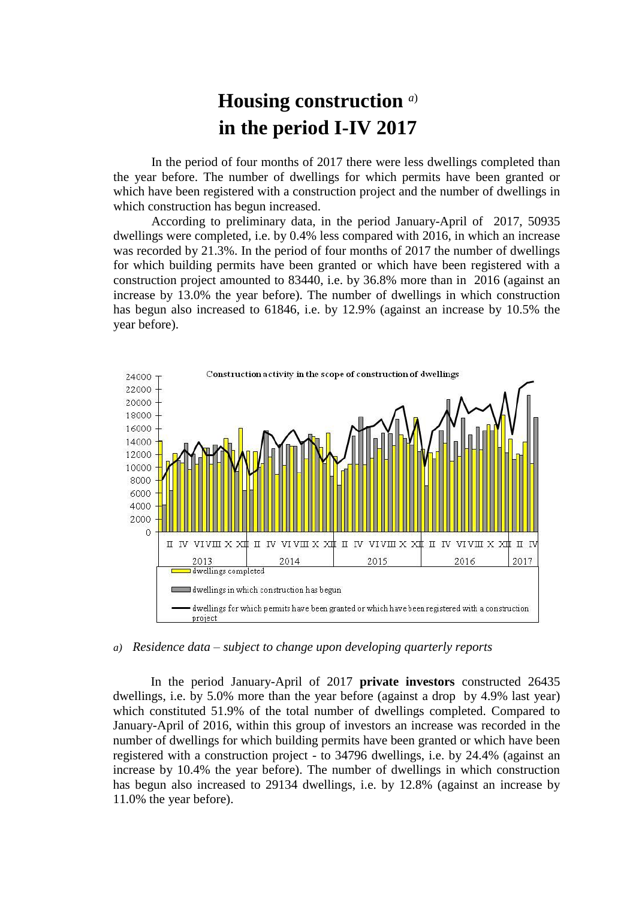## **Housing construction** *a*) **in the period I-IV 2017**

In the period of four months of 2017 there were less dwellings completed than the year before. The number of dwellings for which permits have been granted or which have been registered with a construction project and the number of dwellings in which construction has begun increased.

According to preliminary data, in the period January-April of 2017, 50935 dwellings were completed, i.e. by 0.4% less compared with 2016, in which an increase was recorded by 21.3%. In the period of four months of 2017 the number of dwellings for which building permits have been granted or which have been registered with a construction project amounted to 83440, i.e. by 36.8% more than in 2016 (against an increase by 13.0% the year before). The number of dwellings in which construction has begun also increased to 61846, i.e. by 12.9% (against an increase by 10.5% the year before).



## *a) Residence data – subject to change upon developing quarterly reports*

In the period January-April of 2017 **private investors** constructed 26435 dwellings, i.e. by 5.0% more than the year before (against a drop by 4.9% last year) which constituted 51.9% of the total number of dwellings completed. Compared to January-April of 2016, within this group of investors an increase was recorded in the number of dwellings for which building permits have been granted or which have been registered with a construction project - to 34796 dwellings, i.e. by 24.4% (against an increase by 10.4% the year before). The number of dwellings in which construction has begun also increased to 29134 dwellings, i.e. by 12.8% (against an increase by 11.0% the year before).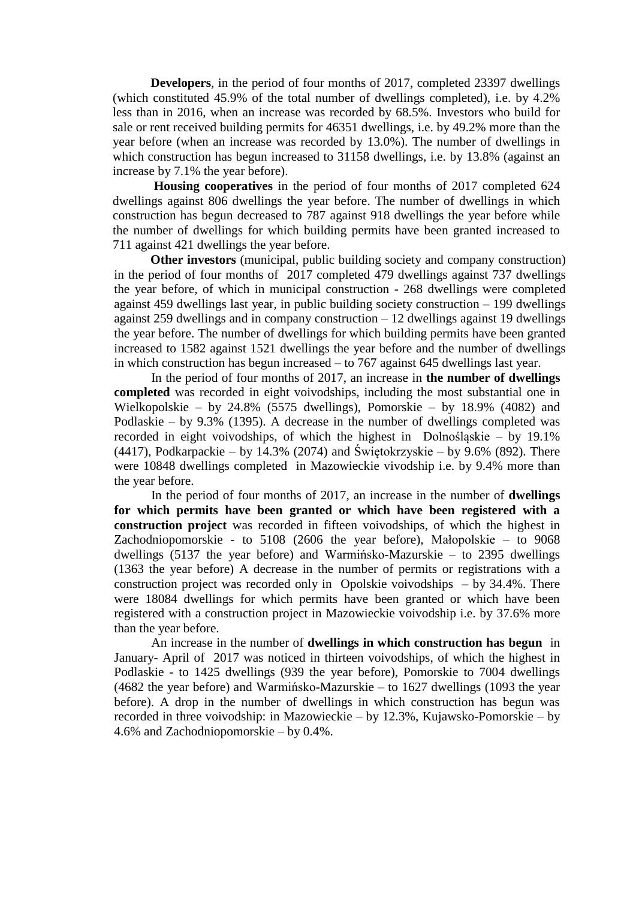**Developers**, in the period of four months of 2017, completed 23397 dwellings (which constituted 45.9% of the total number of dwellings completed), i.e. by 4.2% less than in 2016, when an increase was recorded by 68.5%. Investors who build for sale or rent received building permits for 46351 dwellings, i.e. by 49.2% more than the year before (when an increase was recorded by 13.0%). The number of dwellings in which construction has begun increased to 31158 dwellings, i.e. by 13.8% (against an increase by 7.1% the year before).

**Housing cooperatives** in the period of four months of 2017 completed 624 dwellings against 806 dwellings the year before. The number of dwellings in which construction has begun decreased to 787 against 918 dwellings the year before while the number of dwellings for which building permits have been granted increased to 711 against 421 dwellings the year before.

**Other investors** (municipal, public building society and company construction) in the period of four months of 2017 completed 479 dwellings against 737 dwellings the year before, of which in municipal construction - 268 dwellings were completed against 459 dwellings last year, in public building society construction – 199 dwellings against 259 dwellings and in company construction – 12 dwellings against 19 dwellings the year before. The number of dwellings for which building permits have been granted increased to 1582 against 1521 dwellings the year before and the number of dwellings in which construction has begun increased – to 767 against 645 dwellings last year.

In the period of four months of 2017, an increase in **the number of dwellings completed** was recorded in eight voivodships, including the most substantial one in Wielkopolskie – by 24.8% (5575 dwellings), Pomorskie – by 18.9% (4082) and Podlaskie – by 9.3% (1395). A decrease in the number of dwellings completed was recorded in eight voivodships, of which the highest in Dolnośląskie – by 19.1% (4417), Podkarpackie – by 14.3% (2074) and Świętokrzyskie – by 9.6% (892). There were 10848 dwellings completed in Mazowieckie vivodship i.e. by 9.4% more than the year before.

In the period of four months of 2017, an increase in the number of **dwellings for which permits have been granted or which have been registered with a construction project** was recorded in fifteen voivodships, of which the highest in Zachodniopomorskie - to 5108 (2606 the year before), Małopolskie – to 9068 dwellings (5137 the year before) and Warmińsko-Mazurskie – to 2395 dwellings (1363 the year before) A decrease in the number of permits or registrations with a construction project was recorded only in Opolskie voivodships – by 34.4%. There were 18084 dwellings for which permits have been granted or which have been registered with a construction project in Mazowieckie voivodship i.e. by 37.6% more than the year before.

An increase in the number of **dwellings in which construction has begun** in January- April of 2017 was noticed in thirteen voivodships, of which the highest in Podlaskie - to 1425 dwellings (939 the year before), Pomorskie to 7004 dwellings (4682 the year before) and Warmińsko-Mazurskie – to 1627 dwellings (1093 the year before). A drop in the number of dwellings in which construction has begun was recorded in three voivodship: in Mazowieckie – by 12.3%, Kujawsko-Pomorskie – by 4.6% and Zachodniopomorskie – by 0.4%.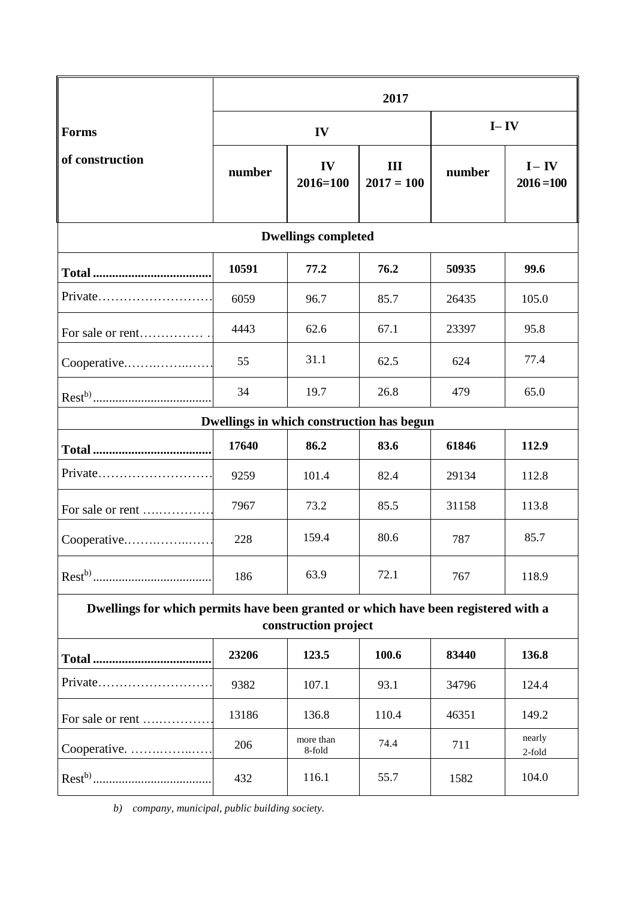|                                                                                                            | 2017   |                     |                     |          |                          |
|------------------------------------------------------------------------------------------------------------|--------|---------------------|---------------------|----------|--------------------------|
| <b>Forms</b><br>of construction                                                                            | IV     |                     |                     | $I - IV$ |                          |
|                                                                                                            | number | IV<br>$2016 = 100$  | III<br>$2017 = 100$ | number   | $I - IV$<br>$2016 = 100$ |
| <b>Dwellings completed</b>                                                                                 |        |                     |                     |          |                          |
|                                                                                                            | 10591  | 77.2                | 76.2                | 50935    | 99.6                     |
| $Private$                                                                                                  | 6059   | 96.7                | 85.7                | 26435    | 105.0                    |
| For sale or rent                                                                                           | 4443   | 62.6                | 67.1                | 23397    | 95.8                     |
| Cooperative                                                                                                | 55     | 31.1                | 62.5                | 624      | 77.4                     |
|                                                                                                            | 34     | 19.7                | 26.8                | 479      | 65.0                     |
| Dwellings in which construction has begun                                                                  |        |                     |                     |          |                          |
|                                                                                                            | 17640  | 86.2                | 83.6                | 61846    | 112.9                    |
| Private                                                                                                    | 9259   | 101.4               | 82.4                | 29134    | 112.8                    |
| For sale or rent                                                                                           | 7967   | 73.2                | 85.5                | 31158    | 113.8                    |
| Cooperative                                                                                                | 228    | 159.4               | 80.6                | 787      | 85.7                     |
|                                                                                                            | 186    | 63.9                | 72.1                | 767      | 118.9                    |
| Dwellings for which permits have been granted or which have been registered with a<br>construction project |        |                     |                     |          |                          |
| <b>Total </b>                                                                                              | 23206  | 123.5               | 100.6               | 83440    | 136.8                    |
| Private                                                                                                    | 9382   | 107.1               | 93.1                | 34796    | 124.4                    |
| For sale or rent                                                                                           | 13186  | 136.8               | 110.4               | 46351    | 149.2                    |
| Cooperative.                                                                                               | 206    | more than<br>8-fold | 74.4                | 711      | nearly<br>2-fold         |
|                                                                                                            | 432    | 116.1               | 55.7                | 1582     | 104.0                    |

*b) company, municipal, public building society.*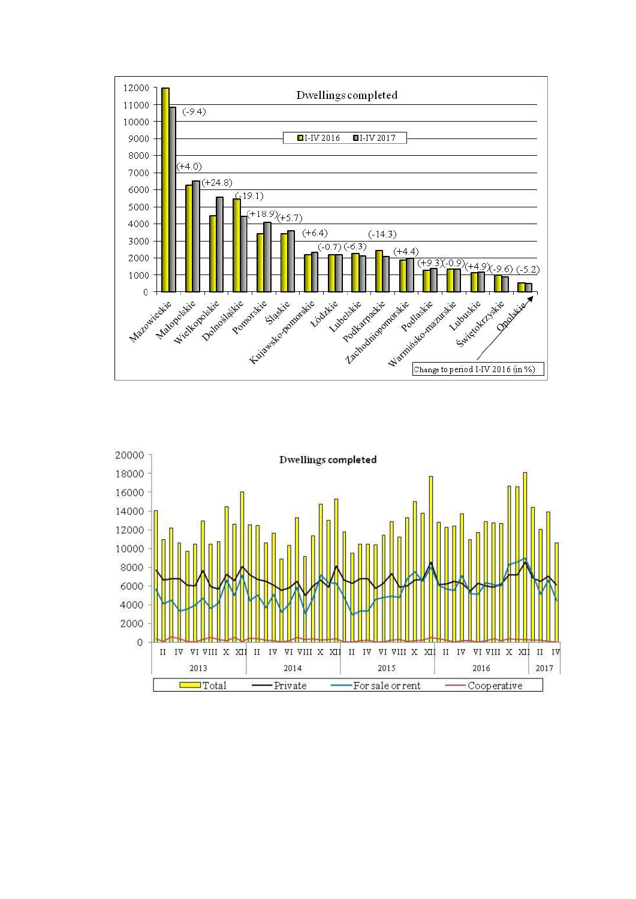